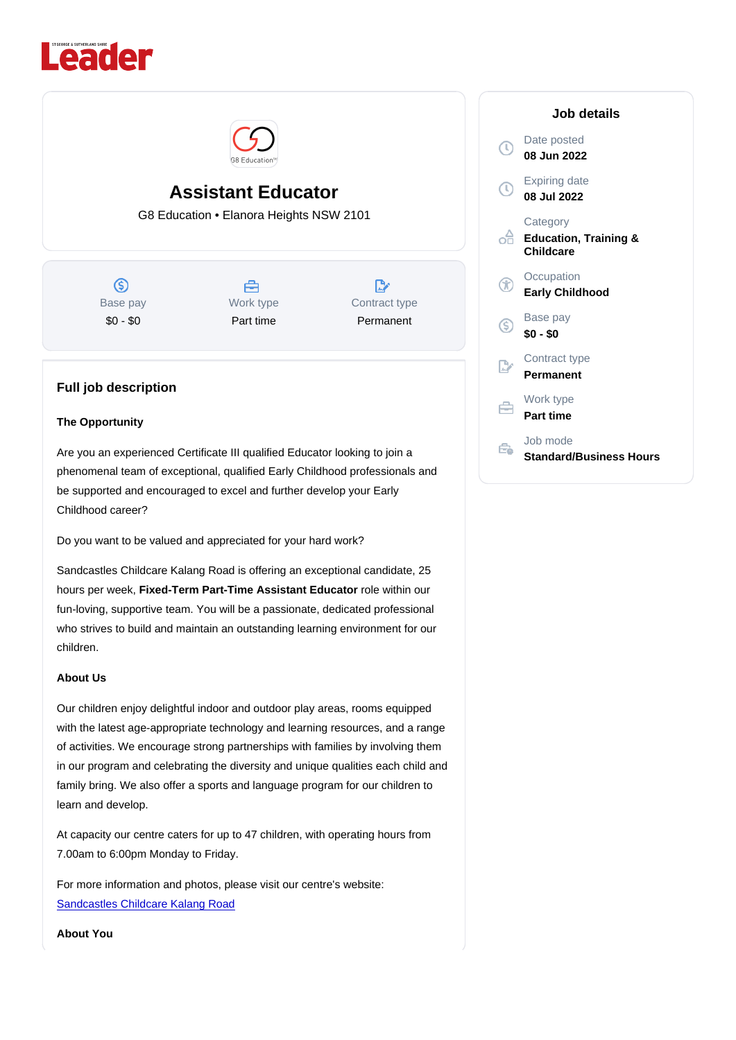# Assistant Educator G8 Education • Elanora Heights NSW 2101

Base pay \$0 - \$0

Work type Part time

Contract type Permanent

## Full job description

## The Opportunity

Are you an experienced Certificate III qualified Educator looking to join a phenomenal team of exceptional, qualified Early Childhood professionals and be supported and encouraged to excel and further develop your Early Childhood career?

Do you want to be valued and appreciated for your hard work?

Sandcastles Childcare Kalang Road is offering an exceptional candidate, 25 hours per week, Fixed-Term Part-Time Assistant Educator role within our fun-loving, supportive team. You will be a passionate, dedicated professional who strives to build and maintain an outstanding learning environment for our children.

## About Us

Our children enjoy delightful indoor and outdoor play areas, rooms equipped with the latest age-appropriate technology and learning resources, and a range of activities. We encourage strong partnerships with families by involving them in our program and celebrating the diversity and unique qualities each child and family bring. We also offer a sports and language program for our children to learn and develop.

At capacity our centre caters for up to 47 children, with operating hours from 7.00am to 6:00pm Monday to Friday.

For more information and photos, please visit our centre's website: [Sandcastles Childcare Kalang Road](https://www.sandcastleschildcare.com.au/centres/childcare-elanora-heights/)

About You

#### Job details

Date posted 08 Jun 2022

Expiring date 08 Jul 2022

**Category** Education, Training & **Childcare** 

**Occupation** Early Childhood

Base pay \$0 - \$0

Contract type Permanent

Work type Part time

Job mode Standard/Business Hours